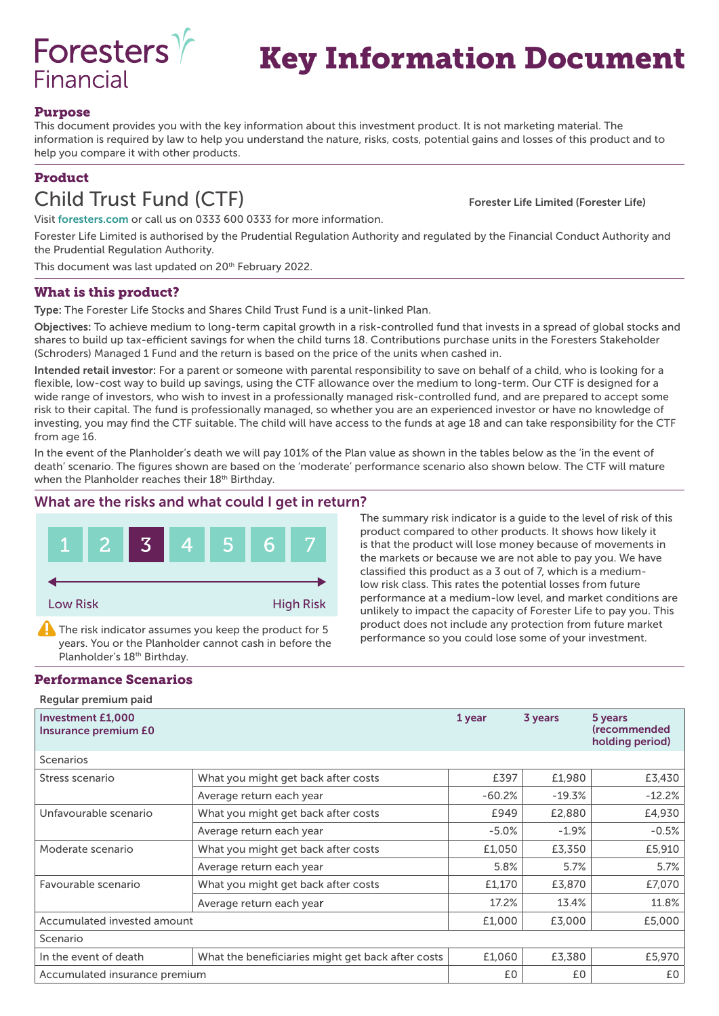

# Key Information Document

#### Purpose

This document provides you with the key information about this investment product. It is not marketing material. The information is required by law to help you understand the nature, risks, costs, potential gains and losses of this product and to help you compare it with other products.

### Product

## Child Trust Fund (CTF) Forester Life Limited (Forester Life)

Visit foresters.com or call us on 0333 600 0333 for more information.

Forester Life Limited is authorised by the Prudential Regulation Authority and regulated by the Financial Conduct Authority and the Prudential Regulation Authority.

This document was last updated on 20<sup>th</sup> February 2022.

#### What is this product?

Type: The Forester Life Stocks and Shares Child Trust Fund is a unit-linked Plan.

Objectives: To achieve medium to long-term capital growth in a risk-controlled fund that invests in a spread of global stocks and shares to build up tax-efficient savings for when the child turns 18. Contributions purchase units in the Foresters Stakeholder (Schroders) Managed 1 Fund and the return is based on the price of the units when cashed in.

Intended retail investor: For a parent or someone with parental responsibility to save on behalf of a child, who is looking for a flexible, low-cost way to build up savings, using the CTF allowance over the medium to long-term. Our CTF is designed for a wide range of investors, who wish to invest in a professionally managed risk-controlled fund, and are prepared to accept some risk to their capital. The fund is professionally managed, so whether you are an experienced investor or have no knowledge of investing, you may find the CTF suitable. The child will have access to the funds at age 18 and can take responsibility for the CTF from age 16.

In the event of the Planholder's death we will pay 101% of the Plan value as shown in the tables below as the 'in the event of death' scenario. The figures shown are based on the 'moderate' performance scenario also shown below. The CTF will mature when the Planholder reaches their 18<sup>th</sup> Birthday.

#### What are the risks and what could I get in return?



The risk indicator assumes you keep the product for 5 years. You or the Planholder cannot cash in before the Planholder's 18<sup>th</sup> Birthday.

#### Performance Scenarios

Regular premium paid

The summary risk indicator is a guide to the level of risk of this product compared to other products. It shows how likely it is that the product will lose money because of movements in the markets or because we are not able to pay you. We have classified this product as a 3 out of 7, which is a mediumlow risk class. This rates the potential losses from future performance at a medium-low level, and market conditions are unlikely to impact the capacity of Forester Life to pay you. This product does not include any protection from future market performance so you could lose some of your investment.

| <b>Investment £1,000</b><br>Insurance premium E0 | 1 year                                            | 3 years  | 5 years<br><i><u><b>(recommended)</b></u></i><br>holding period) |          |
|--------------------------------------------------|---------------------------------------------------|----------|------------------------------------------------------------------|----------|
| <b>Scenarios</b>                                 |                                                   |          |                                                                  |          |
| Stress scenario                                  | What you might get back after costs               | £397     | £1,980                                                           | £3,430   |
|                                                  | Average return each year                          | $-60.2%$ | $-19.3%$                                                         | $-12.2%$ |
| Unfavourable scenario                            | What you might get back after costs               | £949     | £2,880                                                           | £4,930   |
|                                                  | Average return each year                          | $-5.0%$  | $-1.9%$                                                          | $-0.5%$  |
| Moderate scenario                                | What you might get back after costs               | £1,050   | £3,350                                                           | £5,910   |
|                                                  | Average return each year                          | 5.8%     | 5.7%                                                             | 5.7%     |
| Favourable scenario                              | What you might get back after costs               | £1,170   | £3,870                                                           | £7,070   |
|                                                  | Average return each year                          | 17.2%    | 13.4%                                                            | 11.8%    |
| Accumulated invested amount                      |                                                   | £1,000   | £3,000                                                           | £5,000   |
| Scenario                                         |                                                   |          |                                                                  |          |
| In the event of death                            | What the beneficiaries might get back after costs | £1,060   | £3,380                                                           | £5,970   |
| Accumulated insurance premium                    |                                                   | £0       | £0                                                               | £0       |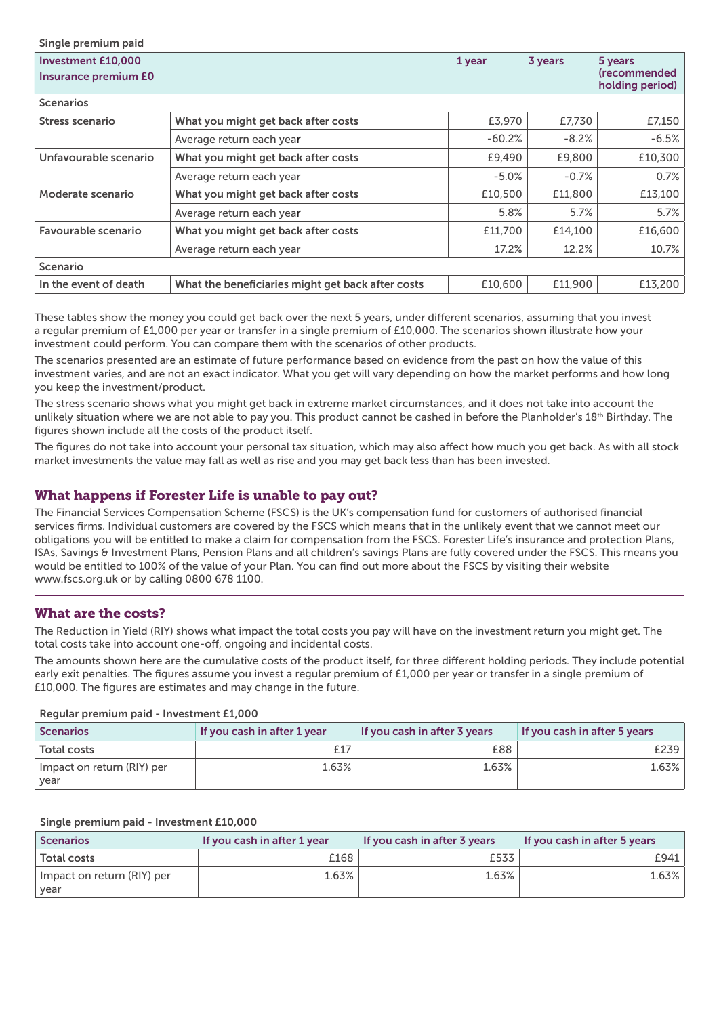| Single premium paid                                      |                                                   |          |         |                                            |
|----------------------------------------------------------|---------------------------------------------------|----------|---------|--------------------------------------------|
| <b>Investment £10,000</b><br><b>Insurance premium £0</b> |                                                   | 1 year   | 3 years | 5 years<br>(recommended<br>holding period) |
| <b>Scenarios</b>                                         |                                                   |          |         |                                            |
| Stress scenario                                          | What you might get back after costs               | £3,970   | £7,730  | £7,150                                     |
|                                                          | Average return each year                          | $-60.2%$ | $-8.2%$ | $-6.5%$                                    |
| Unfavourable scenario                                    | What you might get back after costs               | £9,490   | £9,800  | £10,300                                    |
|                                                          | Average return each year                          | $-5.0%$  | $-0.7%$ | 0.7%                                       |
| Moderate scenario                                        | What you might get back after costs               | £10,500  | £11,800 | £13,100                                    |
|                                                          | Average return each year                          | 5.8%     | 5.7%    | 5.7%                                       |
| Favourable scenario                                      | What you might get back after costs               | £11,700  | £14,100 | £16,600                                    |
|                                                          | Average return each year                          | 17.2%    | 12.2%   | 10.7%                                      |
| <b>Scenario</b>                                          |                                                   |          |         |                                            |
| In the event of death                                    | What the beneficiaries might get back after costs | £10,600  | £11,900 | £13,200                                    |

These tables show the money you could get back over the next 5 years, under different scenarios, assuming that you invest a regular premium of £1,000 per year or transfer in a single premium of £10,000. The scenarios shown illustrate how your investment could perform. You can compare them with the scenarios of other products.

The scenarios presented are an estimate of future performance based on evidence from the past on how the value of this investment varies, and are not an exact indicator. What you get will vary depending on how the market performs and how long you keep the investment/product.

The stress scenario shows what you might get back in extreme market circumstances, and it does not take into account the unlikely situation where we are not able to pay you. This product cannot be cashed in before the Planholder's 18<sup>th</sup> Birthday. The figures shown include all the costs of the product itself.

The figures do not take into account your personal tax situation, which may also affect how much you get back. As with all stock market investments the value may fall as well as rise and you may get back less than has been invested.

#### What happens if Forester Life is unable to pay out?

The Financial Services Compensation Scheme (FSCS) is the UK's compensation fund for customers of authorised financial services firms. Individual customers are covered by the FSCS which means that in the unlikely event that we cannot meet our obligations you will be entitled to make a claim for compensation from the FSCS. Forester Life's insurance and protection Plans, ISAs, Savings & Investment Plans, Pension Plans and all children's savings Plans are fully covered under the FSCS. This means you would be entitled to 100% of the value of your Plan. You can find out more about the FSCS by visiting their website www.fscs.org.uk or by calling 0800 678 1100.

#### What are the costs?

The Reduction in Yield (RIY) shows what impact the total costs you pay will have on the investment return you might get. The total costs take into account one-off, ongoing and incidental costs.

The amounts shown here are the cumulative costs of the product itself, for three different holding periods. They include potential early exit penalties. The figures assume you invest a regular premium of £1,000 per year or transfer in a single premium of £10,000. The figures are estimates and may change in the future.

Regular premium paid - Investment £1,000

| <b>Scenarios</b>                   | If you cash in after 1 year | If you cash in after 3 years | If you cash in after 5 years |
|------------------------------------|-----------------------------|------------------------------|------------------------------|
| <b>Total costs</b>                 |                             | £88                          | £239                         |
| Impact on return (RIY) per<br>year | 1.63%                       | 1.63%                        | 1.63%                        |

#### Single premium paid - Investment £10,000

| <b>Scenarios</b>                   | If you cash in after 1 year | If you cash in after 3 years | If you cash in after 5 years |
|------------------------------------|-----------------------------|------------------------------|------------------------------|
| <b>Total costs</b>                 | £168                        | £533                         | £941                         |
| Impact on return (RIY) per<br>year | 1.63%                       | 1.63%                        | 1.63%                        |